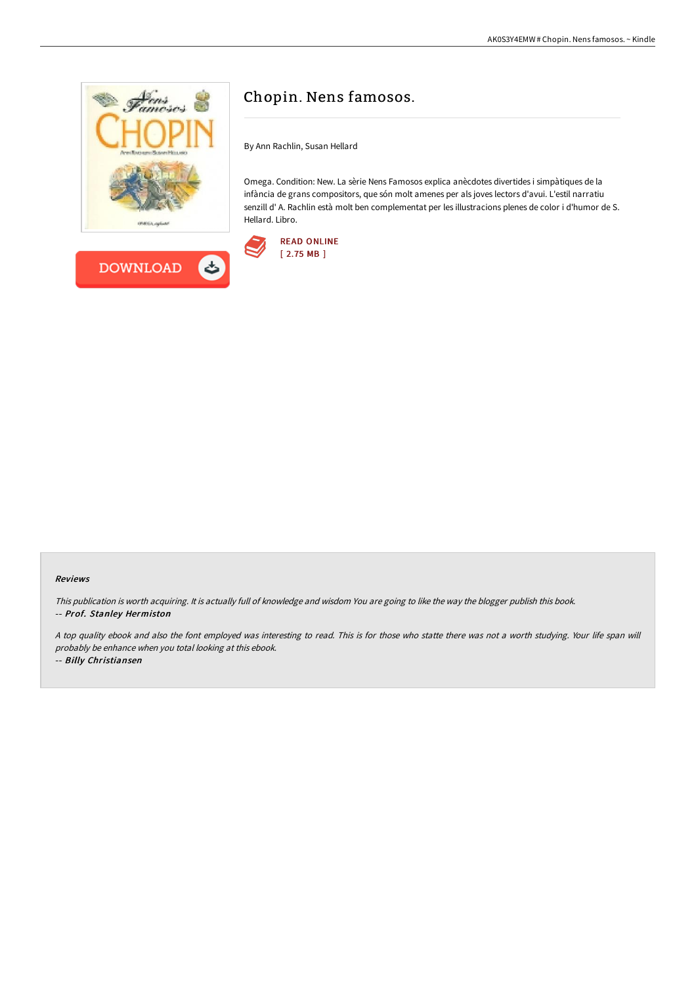



# Chopin. Nens famosos.

By Ann Rachlin, Susan Hellard

Omega. Condition: New. La sèrie Nens Famosos explica anècdotes divertides i simpàtiques de la infància de grans compositors, que són molt amenes per als joves lectors d'avui. L'estil narratiu senzill d' A. Rachlin està molt ben complementat per les illustracions plenes de color i d'humor de S. Hellard. Libro.



#### Reviews

This publication is worth acquiring. It is actually full of knowledge and wisdom You are going to like the way the blogger publish this book. -- Prof. Stanley Hermiston

<sup>A</sup> top quality ebook and also the font employed was interesting to read. This is for those who statte there was not <sup>a</sup> worth studying. Your life span will probably be enhance when you total looking at this ebook.

-- Billy Christiansen